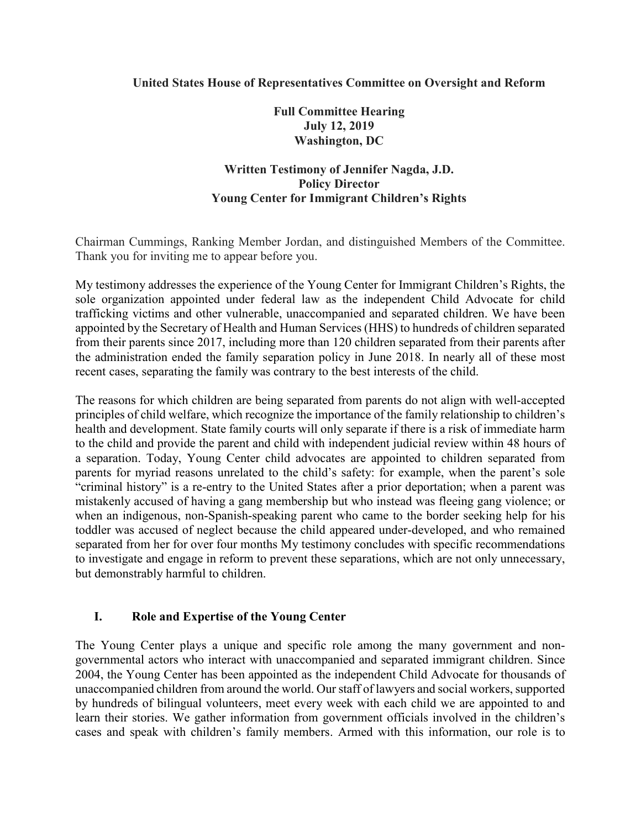### **United States House of Representatives Committee on Oversight and Reform**

**Full Committee Hearing July 12, 2019 Washington, DC**

# **Written Testimony of Jennifer Nagda, J.D. Policy Director Young Center for Immigrant Children's Rights**

Chairman Cummings, Ranking Member Jordan, and distinguished Members of the Committee. Thank you for inviting me to appear before you.

My testimony addresses the experience of the Young Center for Immigrant Children's Rights, the sole organization appointed under federal law as the independent Child Advocate for child trafficking victims and other vulnerable, unaccompanied and separated children. We have been appointed by the Secretary of Health and Human Services (HHS) to hundreds of children separated from their parents since 2017, including more than 120 children separated from their parents after the administration ended the family separation policy in June 2018. In nearly all of these most recent cases, separating the family was contrary to the best interests of the child.

The reasons for which children are being separated from parents do not align with well-accepted principles of child welfare, which recognize the importance of the family relationship to children's health and development. State family courts will only separate if there is a risk of immediate harm to the child and provide the parent and child with independent judicial review within 48 hours of a separation. Today, Young Center child advocates are appointed to children separated from parents for myriad reasons unrelated to the child's safety: for example, when the parent's sole "criminal history" is a re-entry to the United States after a prior deportation; when a parent was mistakenly accused of having a gang membership but who instead was fleeing gang violence; or when an indigenous, non-Spanish-speaking parent who came to the border seeking help for his toddler was accused of neglect because the child appeared under-developed, and who remained separated from her for over four months My testimony concludes with specific recommendations to investigate and engage in reform to prevent these separations, which are not only unnecessary, but demonstrably harmful to children.

#### **I. Role and Expertise of the Young Center**

The Young Center plays a unique and specific role among the many government and nongovernmental actors who interact with unaccompanied and separated immigrant children. Since 2004, the Young Center has been appointed as the independent Child Advocate for thousands of unaccompanied children from around the world. Our staff of lawyers and social workers, supported by hundreds of bilingual volunteers, meet every week with each child we are appointed to and learn their stories. We gather information from government officials involved in the children's cases and speak with children's family members. Armed with this information, our role is to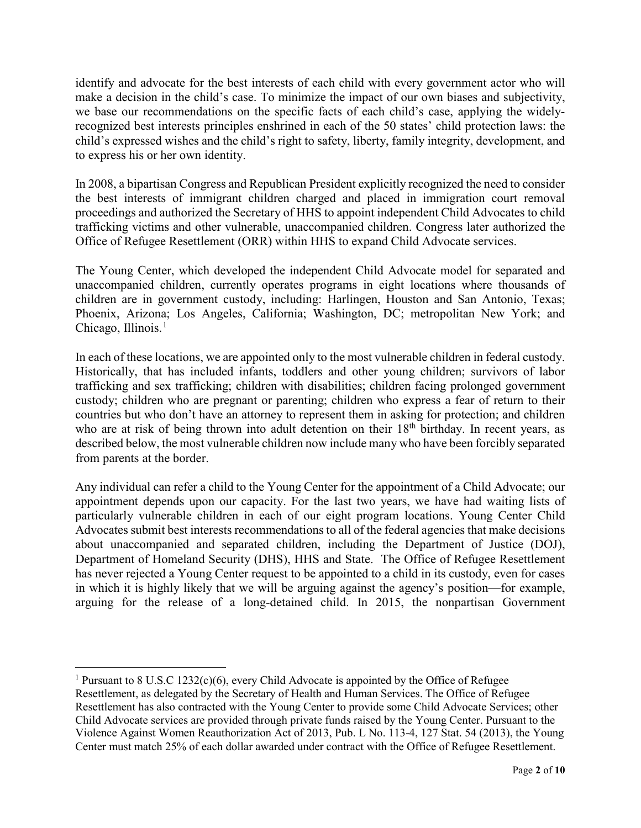identify and advocate for the best interests of each child with every government actor who will make a decision in the child's case. To minimize the impact of our own biases and subjectivity, we base our recommendations on the specific facts of each child's case, applying the widelyrecognized best interests principles enshrined in each of the 50 states' child protection laws: the child's expressed wishes and the child's right to safety, liberty, family integrity, development, and to express his or her own identity.

In 2008, a bipartisan Congress and Republican President explicitly recognized the need to consider the best interests of immigrant children charged and placed in immigration court removal proceedings and authorized the Secretary of HHS to appoint independent Child Advocates to child trafficking victims and other vulnerable, unaccompanied children. Congress later authorized the Office of Refugee Resettlement (ORR) within HHS to expand Child Advocate services.

The Young Center, which developed the independent Child Advocate model for separated and unaccompanied children, currently operates programs in eight locations where thousands of children are in government custody, including: Harlingen, Houston and San Antonio, Texas; Phoenix, Arizona; Los Angeles, California; Washington, DC; metropolitan New York; and Chicago, Illinois.<sup>[1](#page-1-0)</sup>

In each of these locations, we are appointed only to the most vulnerable children in federal custody. Historically, that has included infants, toddlers and other young children; survivors of labor trafficking and sex trafficking; children with disabilities; children facing prolonged government custody; children who are pregnant or parenting; children who express a fear of return to their countries but who don't have an attorney to represent them in asking for protection; and children who are at risk of being thrown into adult detention on their 18<sup>th</sup> birthday. In recent years, as described below, the most vulnerable children now include many who have been forcibly separated from parents at the border.

Any individual can refer a child to the Young Center for the appointment of a Child Advocate; our appointment depends upon our capacity. For the last two years, we have had waiting lists of particularly vulnerable children in each of our eight program locations. Young Center Child Advocates submit best interests recommendations to all of the federal agencies that make decisions about unaccompanied and separated children, including the Department of Justice (DOJ), Department of Homeland Security (DHS), HHS and State. The Office of Refugee Resettlement has never rejected a Young Center request to be appointed to a child in its custody, even for cases in which it is highly likely that we will be arguing against the agency's position—for example, arguing for the release of a long-detained child. In 2015, the nonpartisan Government

<span id="page-1-0"></span><sup>&</sup>lt;sup>1</sup> Pursuant to 8 U.S.C 1232(c)(6), every Child Advocate is appointed by the Office of Refugee Resettlement, as delegated by the Secretary of Health and Human Services. The Office of Refugee Resettlement has also contracted with the Young Center to provide some Child Advocate Services; other Child Advocate services are provided through private funds raised by the Young Center. Pursuant to the Violence Against Women Reauthorization Act of 2013, Pub. L No. 113-4, 127 Stat. 54 (2013), the Young Center must match 25% of each dollar awarded under contract with the Office of Refugee Resettlement.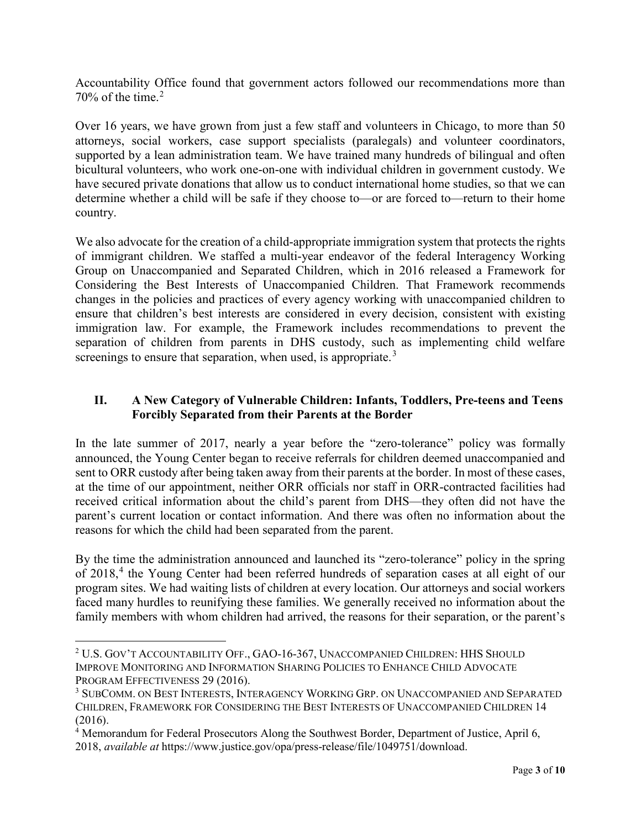Accountability Office found that government actors followed our recommendations more than  $70\%$  of the time.<sup>[2](#page-2-0)</sup>

Over 16 years, we have grown from just a few staff and volunteers in Chicago, to more than 50 attorneys, social workers, case support specialists (paralegals) and volunteer coordinators, supported by a lean administration team. We have trained many hundreds of bilingual and often bicultural volunteers, who work one-on-one with individual children in government custody. We have secured private donations that allow us to conduct international home studies, so that we can determine whether a child will be safe if they choose to—or are forced to—return to their home country.

We also advocate for the creation of a child-appropriate immigration system that protects the rights of immigrant children. We staffed a multi-year endeavor of the federal Interagency Working Group on Unaccompanied and Separated Children, which in 2016 released a Framework for Considering the Best Interests of Unaccompanied Children. That Framework recommends changes in the policies and practices of every agency working with unaccompanied children to ensure that children's best interests are considered in every decision, consistent with existing immigration law. For example, the Framework includes recommendations to prevent the separation of children from parents in DHS custody, such as implementing child welfare screenings to ensure that separation, when used, is appropriate.<sup>[3](#page-2-1)</sup>

# **II. A New Category of Vulnerable Children: Infants, Toddlers, Pre-teens and Teens Forcibly Separated from their Parents at the Border**

In the late summer of 2017, nearly a year before the "zero-tolerance" policy was formally announced, the Young Center began to receive referrals for children deemed unaccompanied and sent to ORR custody after being taken away from their parents at the border. In most of these cases, at the time of our appointment, neither ORR officials nor staff in ORR-contracted facilities had received critical information about the child's parent from DHS—they often did not have the parent's current location or contact information. And there was often no information about the reasons for which the child had been separated from the parent.

By the time the administration announced and launched its "zero-tolerance" policy in the spring of 2018, [4](#page-2-2) the Young Center had been referred hundreds of separation cases at all eight of our program sites. We had waiting lists of children at every location. Our attorneys and social workers faced many hurdles to reunifying these families. We generally received no information about the family members with whom children had arrived, the reasons for their separation, or the parent's

<span id="page-2-0"></span> <sup>2</sup> U.S. GOV'T ACCOUNTABILITY OFF., GAO-16-367, UNACCOMPANIED CHILDREN: HHS SHOULD IMPROVE MONITORING AND INFORMATION SHARING POLICIES TO ENHANCE CHILD ADVOCATE PROGRAM EFFECTIVENESS 29 (2016).

<span id="page-2-1"></span><sup>3</sup> SUBCOMM. ON BEST INTERESTS, INTERAGENCY WORKING GRP. ON UNACCOMPANIED AND SEPARATED CHILDREN, FRAMEWORK FOR CONSIDERING THE BEST INTERESTS OF UNACCOMPANIED CHILDREN 14 (2016).

<span id="page-2-2"></span><sup>4</sup> Memorandum for Federal Prosecutors Along the Southwest Border, Department of Justice, April 6, 2018, *available at* https://www.justice.gov/opa/press-release/file/1049751/download.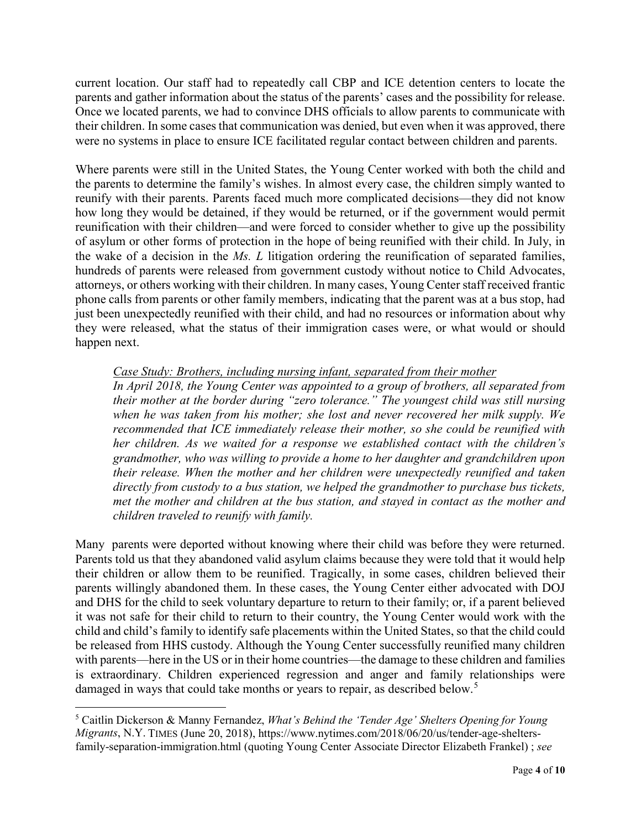current location. Our staff had to repeatedly call CBP and ICE detention centers to locate the parents and gather information about the status of the parents' cases and the possibility for release. Once we located parents, we had to convince DHS officials to allow parents to communicate with their children. In some cases that communication was denied, but even when it was approved, there were no systems in place to ensure ICE facilitated regular contact between children and parents.

Where parents were still in the United States, the Young Center worked with both the child and the parents to determine the family's wishes. In almost every case, the children simply wanted to reunify with their parents. Parents faced much more complicated decisions—they did not know how long they would be detained, if they would be returned, or if the government would permit reunification with their children—and were forced to consider whether to give up the possibility of asylum or other forms of protection in the hope of being reunified with their child. In July, in the wake of a decision in the *Ms. L* litigation ordering the reunification of separated families, hundreds of parents were released from government custody without notice to Child Advocates, attorneys, or others working with their children. In many cases, Young Center staff received frantic phone calls from parents or other family members, indicating that the parent was at a bus stop, had just been unexpectedly reunified with their child, and had no resources or information about why they were released, what the status of their immigration cases were, or what would or should happen next.

## *Case Study: Brothers, including nursing infant, separated from their mother*

*In April 2018, the Young Center was appointed to a group of brothers, all separated from their mother at the border during "zero tolerance." The youngest child was still nursing when he was taken from his mother; she lost and never recovered her milk supply. We recommended that ICE immediately release their mother, so she could be reunified with her children. As we waited for a response we established contact with the children's grandmother, who was willing to provide a home to her daughter and grandchildren upon their release. When the mother and her children were unexpectedly reunified and taken directly from custody to a bus station, we helped the grandmother to purchase bus tickets, met the mother and children at the bus station, and stayed in contact as the mother and children traveled to reunify with family.* 

Many parents were deported without knowing where their child was before they were returned. Parents told us that they abandoned valid asylum claims because they were told that it would help their children or allow them to be reunified. Tragically, in some cases, children believed their parents willingly abandoned them. In these cases, the Young Center either advocated with DOJ and DHS for the child to seek voluntary departure to return to their family; or, if a parent believed it was not safe for their child to return to their country, the Young Center would work with the child and child's family to identify safe placements within the United States, so that the child could be released from HHS custody. Although the Young Center successfully reunified many children with parents—here in the US or in their home countries—the damage to these children and families is extraordinary. Children experienced regression and anger and family relationships were damaged in ways that could take months or years to repair, as described below.<sup>[5](#page-3-0)</sup>

<span id="page-3-0"></span> <sup>5</sup> Caitlin Dickerson & Manny Fernandez, *What's Behind the 'Tender Age' Shelters Opening for Young Migrants*, N.Y. TIMES (June 20, 2018), https://www.nytimes.com/2018/06/20/us/tender-age-sheltersfamily-separation-immigration.html (quoting Young Center Associate Director Elizabeth Frankel) ; *see*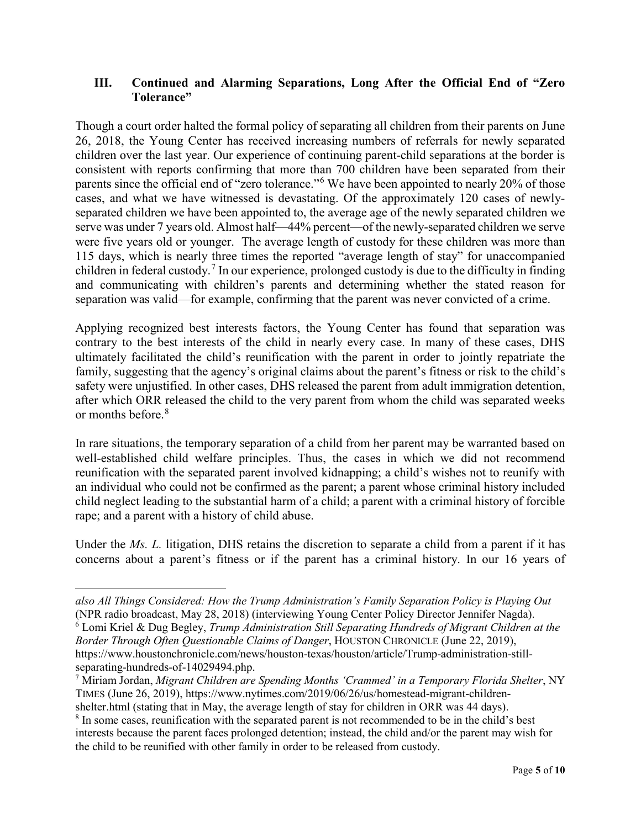## **III. Continued and Alarming Separations, Long After the Official End of "Zero Tolerance"**

Though a court order halted the formal policy of separating all children from their parents on June 26, 2018, the Young Center has received increasing numbers of referrals for newly separated children over the last year. Our experience of continuing parent-child separations at the border is consistent with reports confirming that more than 700 children have been separated from their parents since the official end of "zero tolerance."[6](#page-4-0) We have been appointed to nearly 20% of those cases, and what we have witnessed is devastating. Of the approximately 120 cases of newlyseparated children we have been appointed to, the average age of the newly separated children we serve was under 7 years old. Almost half—44% percent—of the newly-separated children we serve were five years old or younger. The average length of custody for these children was more than 115 days, which is nearly three times the reported "average length of stay" for unaccompanied children in federal custody.[7](#page-4-1) In our experience, prolonged custody is due to the difficulty in finding and communicating with children's parents and determining whether the stated reason for separation was valid—for example, confirming that the parent was never convicted of a crime.

Applying recognized best interests factors, the Young Center has found that separation was contrary to the best interests of the child in nearly every case. In many of these cases, DHS ultimately facilitated the child's reunification with the parent in order to jointly repatriate the family, suggesting that the agency's original claims about the parent's fitness or risk to the child's safety were unjustified. In other cases, DHS released the parent from adult immigration detention, after which ORR released the child to the very parent from whom the child was separated weeks or months before.[8](#page-4-2)

In rare situations, the temporary separation of a child from her parent may be warranted based on well-established child welfare principles. Thus, the cases in which we did not recommend reunification with the separated parent involved kidnapping; a child's wishes not to reunify with an individual who could not be confirmed as the parent; a parent whose criminal history included child neglect leading to the substantial harm of a child; a parent with a criminal history of forcible rape; and a parent with a history of child abuse.

Under the *Ms. L.* litigation, DHS retains the discretion to separate a child from a parent if it has concerns about a parent's fitness or if the parent has a criminal history. In our 16 years of

shelter.html (stating that in May, the average length of stay for children in ORR was 44 days).

 $\overline{a}$ 

<span id="page-4-0"></span>*also All Things Considered: How the Trump Administration's Family Separation Policy is Playing Out* (NPR radio broadcast, May 28, 2018) (interviewing Young Center Policy Director Jennifer Nagda). <sup>6</sup> Lomi Kriel & Dug Begley, *Trump Administration Still Separating Hundreds of Migrant Children at the Border Through Often Questionable Claims of Danger*, HOUSTON CHRONICLE (June 22, 2019), https://www.houstonchronicle.com/news/houston-texas/houston/article/Trump-administration-stillseparating-hundreds-of-14029494.php.

<span id="page-4-1"></span><sup>7</sup> Miriam Jordan, *Migrant Children are Spending Months 'Crammed' in a Temporary Florida Shelter*, NY TIMES (June 26, 2019), https://www.nytimes.com/2019/06/26/us/homestead-migrant-children-

<span id="page-4-2"></span><sup>&</sup>lt;sup>8</sup> In some cases, reunification with the separated parent is not recommended to be in the child's best interests because the parent faces prolonged detention; instead, the child and/or the parent may wish for the child to be reunified with other family in order to be released from custody.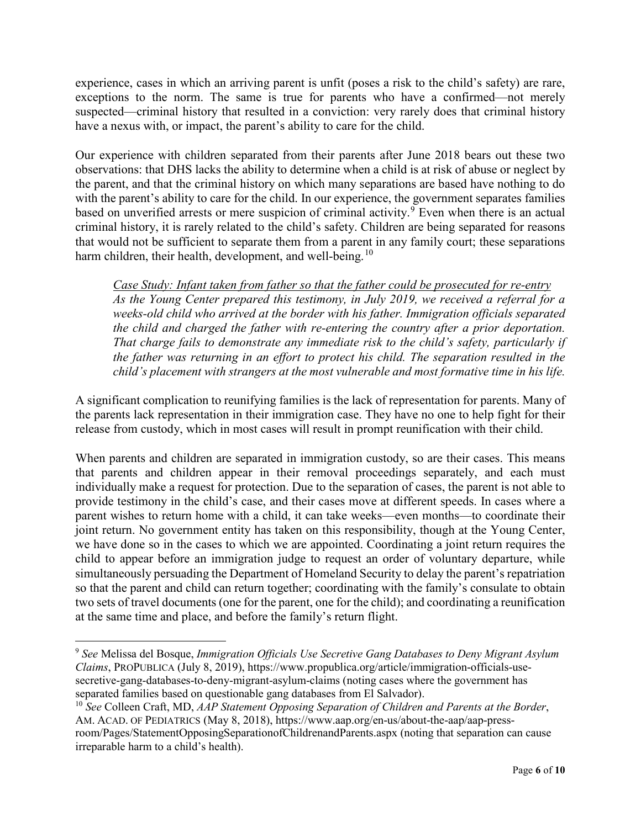experience, cases in which an arriving parent is unfit (poses a risk to the child's safety) are rare, exceptions to the norm. The same is true for parents who have a confirmed—not merely suspected—criminal history that resulted in a conviction: very rarely does that criminal history have a nexus with, or impact, the parent's ability to care for the child.

Our experience with children separated from their parents after June 2018 bears out these two observations: that DHS lacks the ability to determine when a child is at risk of abuse or neglect by the parent, and that the criminal history on which many separations are based have nothing to do with the parent's ability to care for the child. In our experience, the government separates families based on unverified arrests or mere suspicion of criminal activity.<sup>[9](#page-5-0)</sup> Even when there is an actual criminal history, it is rarely related to the child's safety. Children are being separated for reasons that would not be sufficient to separate them from a parent in any family court; these separations harm children, their health, development, and well-being.<sup>[10](#page-5-1)</sup>

*Case Study: Infant taken from father so that the father could be prosecuted for re-entry As the Young Center prepared this testimony, in July 2019, we received a referral for a weeks-old child who arrived at the border with his father. Immigration officials separated the child and charged the father with re-entering the country after a prior deportation. That charge fails to demonstrate any immediate risk to the child's safety, particularly if the father was returning in an effort to protect his child. The separation resulted in the child's placement with strangers at the most vulnerable and most formative time in his life.*

A significant complication to reunifying families is the lack of representation for parents. Many of the parents lack representation in their immigration case. They have no one to help fight for their release from custody, which in most cases will result in prompt reunification with their child.

When parents and children are separated in immigration custody, so are their cases. This means that parents and children appear in their removal proceedings separately, and each must individually make a request for protection. Due to the separation of cases, the parent is not able to provide testimony in the child's case, and their cases move at different speeds. In cases where a parent wishes to return home with a child, it can take weeks—even months—to coordinate their joint return. No government entity has taken on this responsibility, though at the Young Center, we have done so in the cases to which we are appointed. Coordinating a joint return requires the child to appear before an immigration judge to request an order of voluntary departure, while simultaneously persuading the Department of Homeland Security to delay the parent's repatriation so that the parent and child can return together; coordinating with the family's consulate to obtain two sets of travel documents (one for the parent, one for the child); and coordinating a reunification at the same time and place, and before the family's return flight.

<span id="page-5-0"></span> <sup>9</sup> *See* Melissa del Bosque, *Immigration Officials Use Secretive Gang Databases to Deny Migrant Asylum Claims*, PROPUBLICA (July 8, 2019), https://www.propublica.org/article/immigration-officials-usesecretive-gang-databases-to-deny-migrant-asylum-claims (noting cases where the government has separated families based on questionable gang databases from El Salvador).

<span id="page-5-1"></span><sup>10</sup> *See* Colleen Craft, MD, *AAP Statement Opposing Separation of Children and Parents at the Border*, AM. ACAD. OF PEDIATRICS (May 8, 2018), https://www.aap.org/en-us/about-the-aap/aap-pressroom/Pages/StatementOpposingSeparationofChildrenandParents.aspx (noting that separation can cause irreparable harm to a child's health).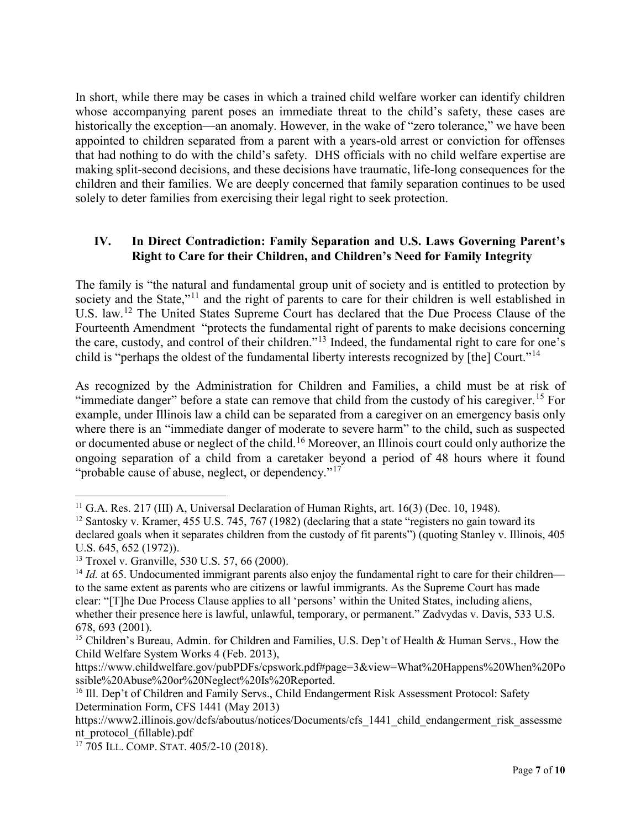In short, while there may be cases in which a trained child welfare worker can identify children whose accompanying parent poses an immediate threat to the child's safety, these cases are historically the exception—an anomaly. However, in the wake of "zero tolerance," we have been appointed to children separated from a parent with a years-old arrest or conviction for offenses that had nothing to do with the child's safety. DHS officials with no child welfare expertise are making split-second decisions, and these decisions have traumatic, life-long consequences for the children and their families. We are deeply concerned that family separation continues to be used solely to deter families from exercising their legal right to seek protection.

# **IV. In Direct Contradiction: Family Separation and U.S. Laws Governing Parent's Right to Care for their Children, and Children's Need for Family Integrity**

The family is "the natural and fundamental group unit of society and is entitled to protection by society and the State,"<sup>[11](#page-6-0)</sup> and the right of parents to care for their children is well established in U.S. law.<sup>[12](#page-6-1)</sup> The United States Supreme Court has declared that the Due Process Clause of the Fourteenth Amendment "protects the fundamental right of parents to make decisions concerning the care, custody, and control of their children."[13](#page-6-2) Indeed, the fundamental right to care for one's child is "perhaps the oldest of the fundamental liberty interests recognized by [the] Court."[14](#page-6-3)

As recognized by the Administration for Children and Families, a child must be at risk of "immediate danger" before a state can remove that child from the custody of his caregiver.<sup>[15](#page-6-4)</sup> For example, under Illinois law a child can be separated from a caregiver on an emergency basis only where there is an "immediate danger of moderate to severe harm" to the child, such as suspected or documented abuse or neglect of the child.<sup>[16](#page-6-5)</sup> Moreover, an Illinois court could only authorize the ongoing separation of a child from a caretaker beyond a period of 48 hours where it found "probable cause of abuse, neglect, or dependency."<sup>[17](#page-6-6)</sup>

<span id="page-6-0"></span><sup>&</sup>lt;sup>11</sup> G.A. Res. 217 (III) A, Universal Declaration of Human Rights, art. 16(3) (Dec. 10, 1948).

<span id="page-6-1"></span><sup>&</sup>lt;sup>12</sup> Santosky v. Kramer, 455 U.S. 745, 767 (1982) (declaring that a state "registers no gain toward its declared goals when it separates children from the custody of fit parents") (quoting Stanley v. Illinois, 405 U.S. 645, 652 (1972)).

<span id="page-6-2"></span><sup>13</sup> Troxel v. Granville, 530 U.S. 57, 66 (2000).

<span id="page-6-3"></span><sup>&</sup>lt;sup>14</sup> *Id.* at 65. Undocumented immigrant parents also enjoy the fundamental right to care for their children to the same extent as parents who are citizens or lawful immigrants. As the Supreme Court has made clear: "[T]he Due Process Clause applies to all 'persons' within the United States, including aliens, whether their presence here is lawful, unlawful, temporary, or permanent." Zadvydas v. Davis, 533 U.S. 678, 693 (2001).

<span id="page-6-4"></span><sup>&</sup>lt;sup>15</sup> Children's Bureau, Admin. for Children and Families, U.S. Dep't of Health & Human Servs., How the Child Welfare System Works 4 (Feb. 2013),

https://www.childwelfare.gov/pubPDFs/cpswork.pdf#page=3&view=What%20Happens%20When%20Po ssible%20Abuse%20or%20Neglect%20Is%20Reported.

<span id="page-6-5"></span><sup>&</sup>lt;sup>16</sup> Ill. Dep't of Children and Family Servs., Child Endangerment Risk Assessment Protocol: Safety Determination Form, CFS 1441 (May 2013)

https://www2.illinois.gov/dcfs/aboutus/notices/Documents/cfs\_1441\_child\_endangerment\_risk\_assessme nt\_protocol\_(fillable).pdf

<span id="page-6-6"></span><sup>17</sup> 705 ILL. COMP. STAT. 405/2-10 (2018).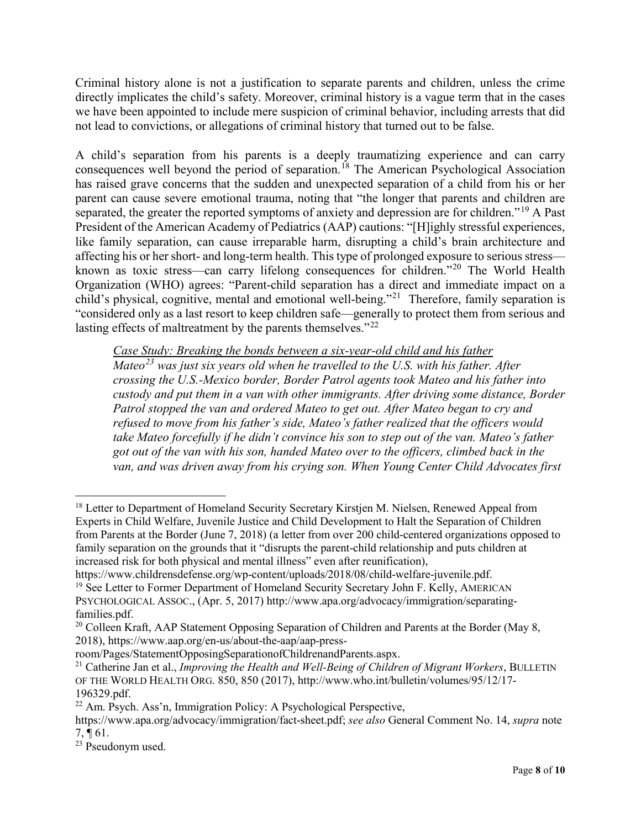Criminal history alone is not a justification to separate parents and children, unless the crime directly implicates the child's safety. Moreover, criminal history is a vague term that in the cases we have been appointed to include mere suspicion of criminal behavior, including arrests that did not lead to convictions, or allegations of criminal history that turned out to be false.

A child's separation from his parents is a deeply traumatizing experience and can carry consequences well beyond the period of separation.<sup>[18](#page-7-0)</sup> The American Psychological Association has raised grave concerns that the sudden and unexpected separation of a child from his or her parent can cause severe emotional trauma, noting that "the longer that parents and children are separated, the greater the reported symptoms of anxiety and depression are for children."<sup>[19](#page-7-1)</sup> A Past President of the American Academy of Pediatrics (AAP) cautions: "[H]ighly stressful experiences, like family separation, can cause irreparable harm, disrupting a child's brain architecture and affecting his or her short- and long-term health. This type of prolonged exposure to serious stress known as toxic stress—can carry lifelong consequences for children."[20](#page-7-2) The World Health Organization (WHO) agrees: "Parent-child separation has a direct and immediate impact on a child's physical, cognitive, mental and emotional well-being."[21](#page-7-3) Therefore, family separation is "considered only as a last resort to keep children safe—generally to protect them from serious and lasting effects of maltreatment by the parents themselves."<sup>[22](#page-7-4)</sup>

*Case Study: Breaking the bonds between a six-year-old child and his father*

*Mateo[23](#page-7-5) was just six years old when he travelled to the U.S. with his father. After crossing the U.S.-Mexico border, Border Patrol agents took Mateo and his father into custody and put them in a van with other immigrants. After driving some distance, Border Patrol stopped the van and ordered Mateo to get out. After Mateo began to cry and refused to move from his father's side, Mateo's father realized that the officers would take Mateo forcefully if he didn't convince his son to step out of the van. Mateo's father got out of the van with his son, handed Mateo over to the officers, climbed back in the van, and was driven away from his crying son. When Young Center Child Advocates first* 

<span id="page-7-1"></span>https://www.childrensdefense.org/wp-content/uploads/2018/08/child-welfare-juvenile.pdf. <sup>19</sup> See Letter to Former Department of Homeland Security Secretary John F. Kelly, AMERICAN PSYCHOLOGICAL ASSOC., (Apr. 5, 2017) http://www.apa.org/advocacy/immigration/separating-

<span id="page-7-0"></span><sup>&</sup>lt;sup>18</sup> Letter to Department of Homeland Security Secretary Kirstjen M. Nielsen, Renewed Appeal from Experts in Child Welfare, Juvenile Justice and Child Development to Halt the Separation of Children from Parents at the Border (June 7, 2018) (a letter from over 200 child-centered organizations opposed to family separation on the grounds that it "disrupts the parent-child relationship and puts children at increased risk for both physical and mental illness" even after reunification),

<span id="page-7-2"></span>families.pdf. <sup>20</sup> Colleen Kraft, AAP Statement Opposing Separation of Children and Parents at the Border (May 8, 2018), [https://www.aap.org/en-us/about-the-aap/aap-press-](https://www.aap.org/en-us/about-the-aap/aap-press-room/Pages/StatementOpposingSeparationofChildrenandParents.aspx)

[room/Pages/StatementOpposingSeparationofChildrenandParents.aspx.](https://www.aap.org/en-us/about-the-aap/aap-press-room/Pages/StatementOpposingSeparationofChildrenandParents.aspx)

<span id="page-7-3"></span><sup>21</sup> Catherine Jan et al., *Improving the Health and Well-Being of Children of Migrant Workers*, BULLETIN OF THE WORLD HEALTH ORG. 850, 850 (2017), http://www.who.int/bulletin/volumes/95/12/17- 196329.pdf.

<span id="page-7-4"></span><sup>22</sup> Am. Psych. Ass'n, Immigration Policy: A Psychological Perspective,

https://www.apa.org/advocacy/immigration/fact-sheet.pdf; *see also* General Comment No. 14, *supra* note  $7, \P 61.$ 

<span id="page-7-5"></span><sup>23</sup> Pseudonym used.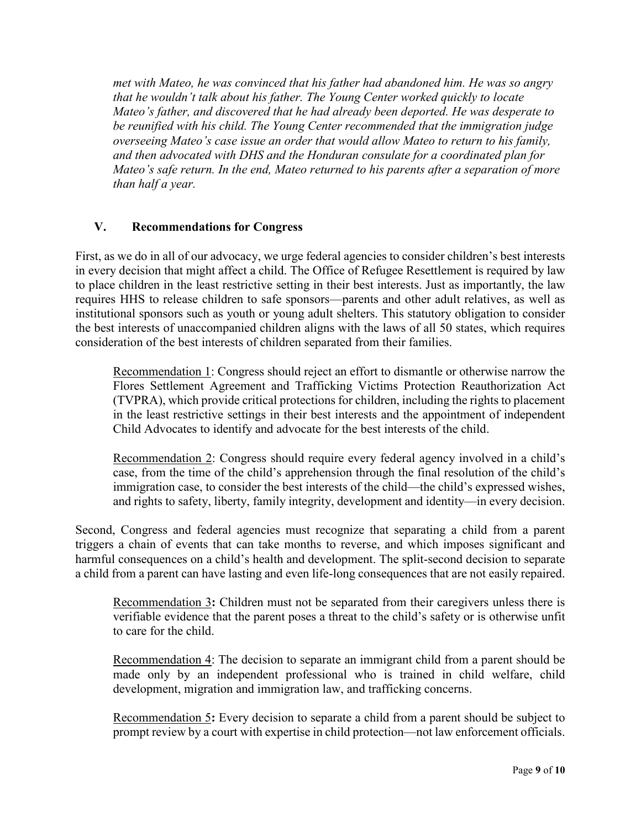*met with Mateo, he was convinced that his father had abandoned him. He was so angry that he wouldn't talk about his father. The Young Center worked quickly to locate Mateo's father, and discovered that he had already been deported. He was desperate to be reunified with his child. The Young Center recommended that the immigration judge overseeing Mateo's case issue an order that would allow Mateo to return to his family, and then advocated with DHS and the Honduran consulate for a coordinated plan for Mateo's safe return. In the end, Mateo returned to his parents after a separation of more than half a year.* 

## **V. Recommendations for Congress**

First, as we do in all of our advocacy, we urge federal agencies to consider children's best interests in every decision that might affect a child. The Office of Refugee Resettlement is required by law to place children in the least restrictive setting in their best interests. Just as importantly, the law requires HHS to release children to safe sponsors—parents and other adult relatives, as well as institutional sponsors such as youth or young adult shelters. This statutory obligation to consider the best interests of unaccompanied children aligns with the laws of all 50 states, which requires consideration of the best interests of children separated from their families.

Recommendation 1: Congress should reject an effort to dismantle or otherwise narrow the Flores Settlement Agreement and Trafficking Victims Protection Reauthorization Act (TVPRA), which provide critical protections for children, including the rights to placement in the least restrictive settings in their best interests and the appointment of independent Child Advocates to identify and advocate for the best interests of the child.

Recommendation 2: Congress should require every federal agency involved in a child's case, from the time of the child's apprehension through the final resolution of the child's immigration case, to consider the best interests of the child—the child's expressed wishes, and rights to safety, liberty, family integrity, development and identity—in every decision.

Second, Congress and federal agencies must recognize that separating a child from a parent triggers a chain of events that can take months to reverse, and which imposes significant and harmful consequences on a child's health and development. The split-second decision to separate a child from a parent can have lasting and even life-long consequences that are not easily repaired.

Recommendation 3**:** Children must not be separated from their caregivers unless there is verifiable evidence that the parent poses a threat to the child's safety or is otherwise unfit to care for the child.

Recommendation 4: The decision to separate an immigrant child from a parent should be made only by an independent professional who is trained in child welfare, child development, migration and immigration law, and trafficking concerns.

Recommendation 5**:** Every decision to separate a child from a parent should be subject to prompt review by a court with expertise in child protection—not law enforcement officials.